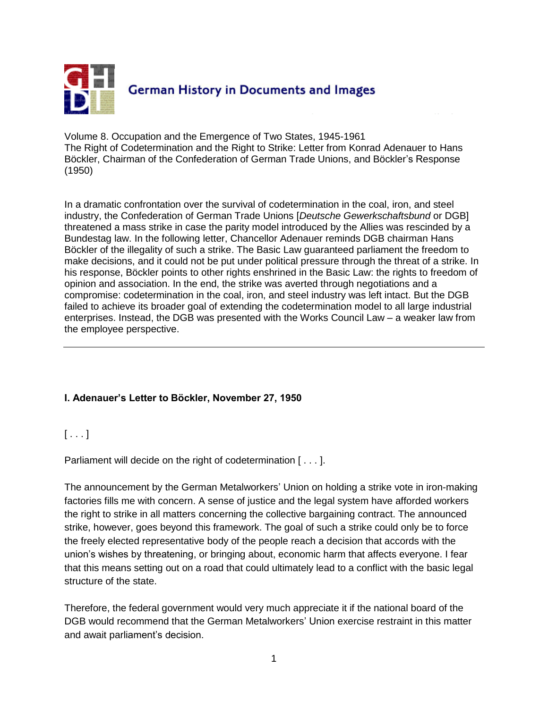

Volume 8. Occupation and the Emergence of Two States, 1945-1961 The Right of Codetermination and the Right to Strike: Letter from Konrad Adenauer to Hans Böckler, Chairman of the Confederation of German Trade Unions, and Böckler's Response (1950)

In a dramatic confrontation over the survival of codetermination in the coal, iron, and steel industry, the Confederation of German Trade Unions [*Deutsche Gewerkschaftsbund* or DGB] threatened a mass strike in case the parity model introduced by the Allies was rescinded by a Bundestag law. In the following letter, Chancellor Adenauer reminds DGB chairman Hans Böckler of the illegality of such a strike. The Basic Law guaranteed parliament the freedom to make decisions, and it could not be put under political pressure through the threat of a strike. In his response, Böckler points to other rights enshrined in the Basic Law: the rights to freedom of opinion and association. In the end, the strike was averted through negotiations and a compromise: codetermination in the coal, iron, and steel industry was left intact. But the DGB failed to achieve its broader goal of extending the codetermination model to all large industrial enterprises. Instead, the DGB was presented with the Works Council Law – a weaker law from the employee perspective.

## **I. Adenauer's Letter to Böckler, November 27, 1950**

## $[ \ldots ]$

Parliament will decide on the right of codetermination [ . . . ].

The announcement by the German Metalworkers' Union on holding a strike vote in iron-making factories fills me with concern. A sense of justice and the legal system have afforded workers the right to strike in all matters concerning the collective bargaining contract. The announced strike, however, goes beyond this framework. The goal of such a strike could only be to force the freely elected representative body of the people reach a decision that accords with the union's wishes by threatening, or bringing about, economic harm that affects everyone. I fear that this means setting out on a road that could ultimately lead to a conflict with the basic legal structure of the state.

Therefore, the federal government would very much appreciate it if the national board of the DGB would recommend that the German Metalworkers' Union exercise restraint in this matter and await parliament's decision.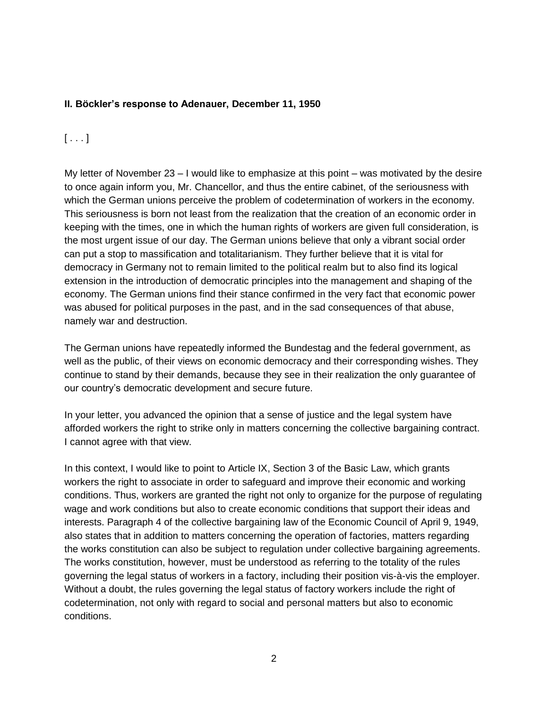## **II. Böckler's response to Adenauer, December 11, 1950**

## $[\ldots]$

My letter of November  $23 - I$  would like to emphasize at this point – was motivated by the desire to once again inform you, Mr. Chancellor, and thus the entire cabinet, of the seriousness with which the German unions perceive the problem of codetermination of workers in the economy. This seriousness is born not least from the realization that the creation of an economic order in keeping with the times, one in which the human rights of workers are given full consideration, is the most urgent issue of our day. The German unions believe that only a vibrant social order can put a stop to massification and totalitarianism. They further believe that it is vital for democracy in Germany not to remain limited to the political realm but to also find its logical extension in the introduction of democratic principles into the management and shaping of the economy. The German unions find their stance confirmed in the very fact that economic power was abused for political purposes in the past, and in the sad consequences of that abuse, namely war and destruction.

The German unions have repeatedly informed the Bundestag and the federal government, as well as the public, of their views on economic democracy and their corresponding wishes. They continue to stand by their demands, because they see in their realization the only guarantee of our country's democratic development and secure future.

In your letter, you advanced the opinion that a sense of justice and the legal system have afforded workers the right to strike only in matters concerning the collective bargaining contract. I cannot agree with that view.

In this context, I would like to point to Article IX, Section 3 of the Basic Law, which grants workers the right to associate in order to safeguard and improve their economic and working conditions. Thus, workers are granted the right not only to organize for the purpose of regulating wage and work conditions but also to create economic conditions that support their ideas and interests. Paragraph 4 of the collective bargaining law of the Economic Council of April 9, 1949, also states that in addition to matters concerning the operation of factories, matters regarding the works constitution can also be subject to regulation under collective bargaining agreements. The works constitution, however, must be understood as referring to the totality of the rules governing the legal status of workers in a factory, including their position vis-à-vis the employer. Without a doubt, the rules governing the legal status of factory workers include the right of codetermination, not only with regard to social and personal matters but also to economic conditions.